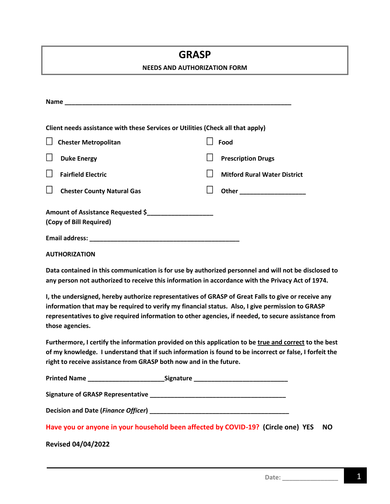## **GRASP**

#### **NEEDS AND AUTHORIZATION FORM**

| Client needs assistance with these Services or Utilities (Check all that apply)                                                                                                                                                                                                                                                    |                   |                                     |           |
|------------------------------------------------------------------------------------------------------------------------------------------------------------------------------------------------------------------------------------------------------------------------------------------------------------------------------------|-------------------|-------------------------------------|-----------|
| <b>Chester Metropolitan</b>                                                                                                                                                                                                                                                                                                        |                   | Food                                |           |
|                                                                                                                                                                                                                                                                                                                                    |                   |                                     |           |
| <b>Duke Energy</b>                                                                                                                                                                                                                                                                                                                 | $\vert \ \ \vert$ | <b>Prescription Drugs</b>           |           |
| <b>Fairfield Electric</b>                                                                                                                                                                                                                                                                                                          | $\mathbf{I}$      | <b>Mitford Rural Water District</b> |           |
| <b>Chester County Natural Gas</b>                                                                                                                                                                                                                                                                                                  | $\Box$            | Other <b>Communication</b>          |           |
| Amount of Assistance Requested \$<br>(Copy of Bill Required)                                                                                                                                                                                                                                                                       |                   |                                     |           |
|                                                                                                                                                                                                                                                                                                                                    |                   |                                     |           |
| <b>AUTHORIZATION</b>                                                                                                                                                                                                                                                                                                               |                   |                                     |           |
| Data contained in this communication is for use by authorized personnel and will not be disclosed to<br>any person not authorized to receive this information in accordance with the Privacy Act of 1974.                                                                                                                          |                   |                                     |           |
| I, the undersigned, hereby authorize representatives of GRASP of Great Falls to give or receive any<br>information that may be required to verify my financial status. Also, I give permission to GRASP<br>representatives to give required information to other agencies, if needed, to secure assistance from<br>those agencies. |                   |                                     |           |
| Furthermore, I certify the information provided on this application to be true and correct to the best<br>of my knowledge. I understand that if such information is found to be incorrect or false, I forfeit the<br>right to receive assistance from GRASP both now and in the future.                                            |                   |                                     |           |
| <b>Printed Name</b>                                                                                                                                                                                                                                                                                                                | Signature         |                                     |           |
|                                                                                                                                                                                                                                                                                                                                    |                   |                                     |           |
|                                                                                                                                                                                                                                                                                                                                    |                   |                                     |           |
| Have you or anyone in your household been affected by COVID-19? (Circle one) YES                                                                                                                                                                                                                                                   |                   |                                     | <b>NO</b> |

### **Revised 04/04/2022**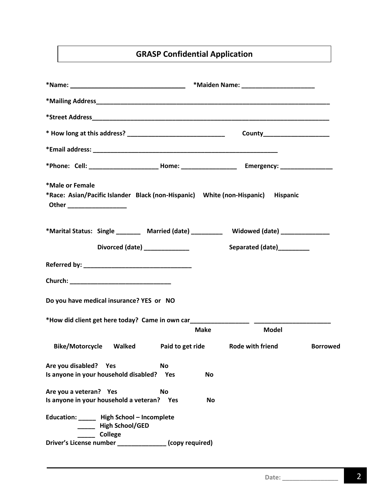### **GRASP Confidential Application**

|                                                                                                                                 |             |                           | County______________________ |                 |
|---------------------------------------------------------------------------------------------------------------------------------|-------------|---------------------------|------------------------------|-----------------|
|                                                                                                                                 |             |                           |                              |                 |
|                                                                                                                                 |             |                           |                              |                 |
| *Male or Female<br>*Race: Asian/Pacific Islander Black (non-Hispanic) White (non-Hispanic) Hispanic<br>Other __________________ |             |                           |                              |                 |
| *Marital Status: Single _______ Married (date) _________ Widowed (date) _____________                                           |             |                           |                              |                 |
| Divorced (date) <b>Divorced</b>                                                                                                 |             | Separated (date)_________ |                              |                 |
|                                                                                                                                 |             |                           |                              |                 |
|                                                                                                                                 |             |                           |                              |                 |
| Do you have medical insurance? YES or NO                                                                                        |             |                           |                              |                 |
| *How did client get here today? Came in own car__________________________________                                               |             |                           |                              |                 |
|                                                                                                                                 | <b>Make</b> |                           | <b>Model</b>                 |                 |
| Bike/Motorcycle Walked Paid to get ride Rode with friend                                                                        |             |                           |                              | <b>Borrowed</b> |
| Are you disabled?<br>Yes<br><b>No</b><br>Is anyone in your household disabled? Yes                                              | <b>No</b>   |                           |                              |                 |
| Are you a veteran? Yes<br><b>No</b><br>Is anyone in your household a veteran? Yes                                               | <b>No</b>   |                           |                              |                 |
| Education: ______ High School - Incomplete<br>High School/GED<br>College                                                        |             |                           |                              |                 |
| Driver's License number ______________ (copy required)                                                                          |             |                           |                              |                 |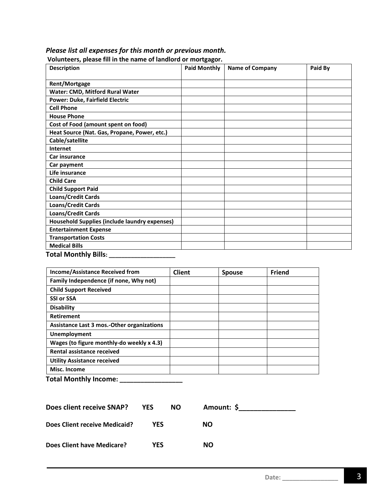| <b>Description</b>                                   | <b>Paid Monthly</b> | <b>Name of Company</b> | Paid By |
|------------------------------------------------------|---------------------|------------------------|---------|
| <b>Rent/Mortgage</b>                                 |                     |                        |         |
| Water: CMD, Mitford Rural Water                      |                     |                        |         |
| <b>Power: Duke, Fairfield Electric</b>               |                     |                        |         |
| <b>Cell Phone</b>                                    |                     |                        |         |
| <b>House Phone</b>                                   |                     |                        |         |
| Cost of Food (amount spent on food)                  |                     |                        |         |
| Heat Source (Nat. Gas, Propane, Power, etc.)         |                     |                        |         |
| Cable/satellite                                      |                     |                        |         |
| <b>Internet</b>                                      |                     |                        |         |
| <b>Car insurance</b>                                 |                     |                        |         |
| Car payment                                          |                     |                        |         |
| Life insurance                                       |                     |                        |         |
| <b>Child Care</b>                                    |                     |                        |         |
| <b>Child Support Paid</b>                            |                     |                        |         |
| <b>Loans/Credit Cards</b>                            |                     |                        |         |
| <b>Loans/Credit Cards</b>                            |                     |                        |         |
| <b>Loans/Credit Cards</b>                            |                     |                        |         |
| <b>Household Supplies (include laundry expenses)</b> |                     |                        |         |
| <b>Entertainment Expense</b>                         |                     |                        |         |
| <b>Transportation Costs</b>                          |                     |                        |         |
| <b>Medical Bills</b>                                 |                     |                        |         |
| <b>Total Monthly Bills:</b>                          |                     |                        |         |

#### *Please list all expenses for this month or previous month.* **Volunteers, please fill in the name of landlord or mortgagor.**

**Income/Assistance Received from Client Spouse Friend Family Independence (if none, Why not) Child Support Received SSI or SSA Disability Retirement Assistance Last 3 mos.-Other organizations Unemployment Wages (to figure monthly-do weekly x 4.3) Rental assistance received Utility Assistance received Misc. Income**

| <b>Total Monthly Income:</b> |  |
|------------------------------|--|
|------------------------------|--|

| Does client receive SNAP?            | <b>YES</b> | NO. | Amount: \$ |  |
|--------------------------------------|------------|-----|------------|--|
| <b>Does Client receive Medicaid?</b> | YFS        |     | NΟ         |  |
| Does Client have Medicare?           | YFS.       |     | NΟ         |  |